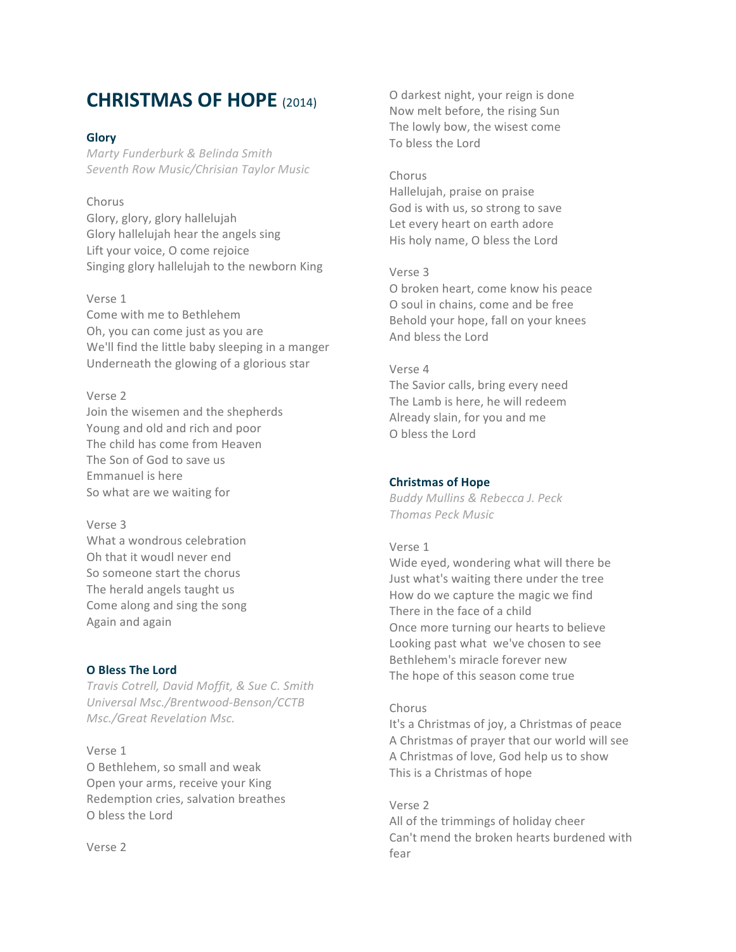# **CHRISTMAS OF HOPE** (2014)

# **Glory**

*Marty Funderburk & Belinda Smith Seventh Row Music/Chrisian Taylor Music*

## Chorus

Glory, glory, glory hallelujah Glory hallelujah hear the angels sing Lift your voice, O come rejoice Singing glory hallelujah to the newborn King

## Verse 1

Come with me to Bethlehem Oh, you can come just as you are We'll find the little baby sleeping in a manger Underneath the glowing of a glorious star

# Verse 2

Join the wisemen and the shepherds Young and old and rich and poor The child has come from Heaven The Son of God to save us Emmanuel is here So what are we waiting for

## Verse 3

What a wondrous celebration Oh that it woudl never end So someone start the chorus The herald angels taught us Come along and sing the song Again and again

## **O Bless The Lord**

*Travis Cotrell, David Moffit, & Sue C. Smith Universal Msc./Brentwood-Benson/CCTB Msc./Great Revelation Msc.*

Verse 1 O Bethlehem, so small and weak Open your arms, receive your King Redemption cries, salvation breathes O bless the Lord

Verse 2

O darkest night, your reign is done Now melt before, the rising Sun The lowly bow, the wisest come To bless the Lord

#### Chorus

Hallelujah, praise on praise God is with us, so strong to save Let every heart on earth adore His holy name, O bless the Lord

## Verse 3

O broken heart, come know his peace O soul in chains, come and be free Behold your hope, fall on your knees And bless the Lord

#### Verse 4

The Savior calls, bring every need The Lamb is here, he will redeem Already slain, for you and me O bless the Lord

## **Christmas of Hope**

*Buddy Mullins & Rebecca J. Peck Thomas Peck Music*

#### Verse 1

Wide eyed, wondering what will there be Just what's waiting there under the tree How do we capture the magic we find There in the face of a child Once more turning our hearts to believe Looking past what we've chosen to see Bethlehem's miracle forever new The hope of this season come true

## Chorus

It's a Christmas of joy, a Christmas of peace A Christmas of prayer that our world will see A Christmas of love, God help us to show This is a Christmas of hope

Verse 2 All of the trimmings of holiday cheer Can't mend the broken hearts burdened with fear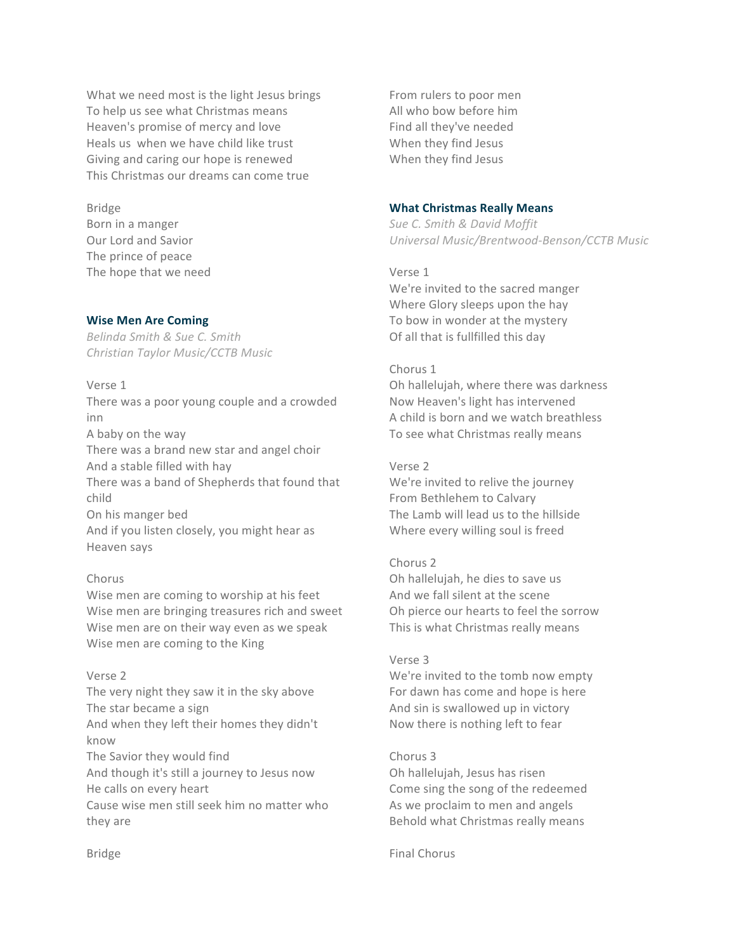What we need most is the light Jesus brings To help us see what Christmas means Heaven's promise of mercy and love Heals us when we have child like trust Giving and caring our hope is renewed This Christmas our dreams can come true

# Bridge

Born in a manger Our Lord and Savior The prince of peace The hope that we need

# **Wise Men Are Coming**

*Belinda Smith & Sue C. Smith Christian Taylor Music/CCTB Music*

Verse 1 There was a poor young couple and a crowded inn A baby on the way There was a brand new star and angel choir And a stable filled with hay There was a band of Shepherds that found that child On his manger bed And if you listen closely, you might hear as Heaven says

# Chorus

Wise men are coming to worship at his feet Wise men are bringing treasures rich and sweet Wise men are on their way even as we speak Wise men are coming to the King

# Verse 2

The very night they saw it in the sky above The star became a sign And when they left their homes they didn't know The Savior they would find And though it's still a journey to Jesus now He calls on every heart Cause wise men still seek him no matter who they are

From rulers to poor men All who bow before him Find all they've needed When they find Jesus When they find Jesus

# **What Christmas Really Means**

*Sue C. Smith & David Moffit Universal Music/Brentwood-Benson/CCTB Music*

Verse 1 We're invited to the sacred manger Where Glory sleeps upon the hay To bow in wonder at the mystery Of all that is fullfilled this day

# Chorus 1

Oh hallelujah, where there was darkness Now Heaven's light has intervened A child is born and we watch breathless To see what Christmas really means

# Verse 2

We're invited to relive the journey From Bethlehem to Calvary The Lamb will lead us to the hillside Where every willing soul is freed

# Chorus 2

Oh hallelujah, he dies to save us And we fall silent at the scene Oh pierce our hearts to feel the sorrow This is what Christmas really means

## Verse 3

We're invited to the tomb now empty For dawn has come and hope is here And sin is swallowed up in victory Now there is nothing left to fear

# Chorus 3

Oh hallelujah, Jesus has risen Come sing the song of the redeemed As we proclaim to men and angels Behold what Christmas really means

Final Chorus

Bridge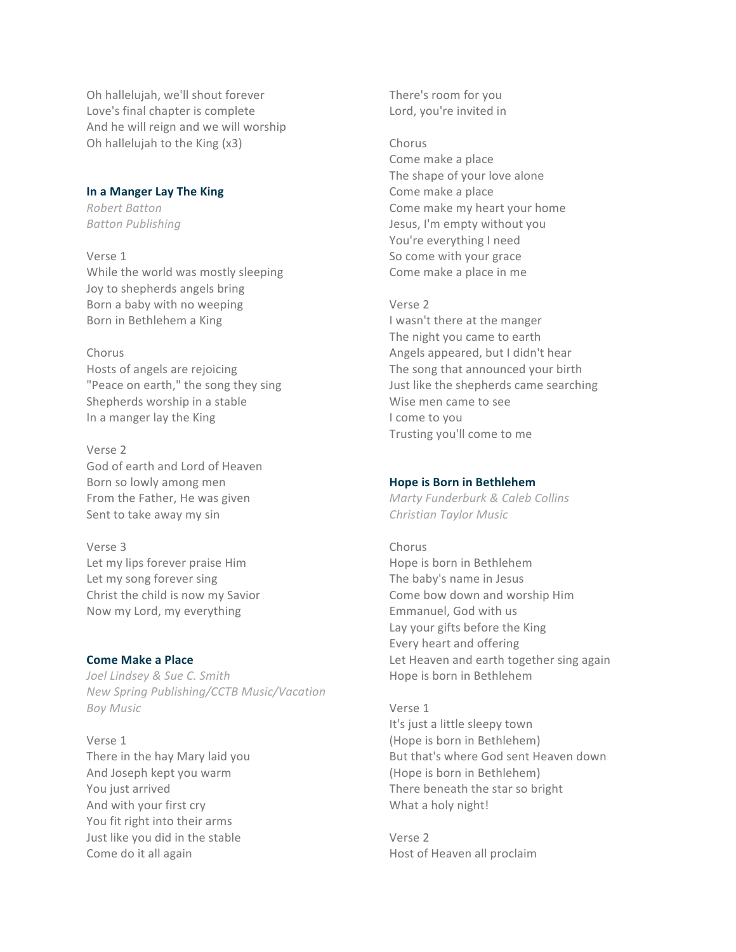Oh hallelujah, we'll shout forever Love's final chapter is complete And he will reign and we will worship Oh hallelujah to the King (x3)

# **In a Manger Lay The King**

*Robert Batton Batton Publishing*

Verse 1

While the world was mostly sleeping Joy to shepherds angels bring Born a baby with no weeping Born in Bethlehem a King

## Chorus

Hosts of angels are rejoicing "Peace on earth," the song they sing Shepherds worship in a stable In a manger lay the King

Verse 2 God of earth and Lord of Heaven Born so lowly among men From the Father, He was given Sent to take away my sin

Verse 3 Let my lips forever praise Him Let my song forever sing Christ the child is now my Savior Now my Lord, my everything

## **Come Make a Place**

*Joel Lindsey & Sue C. Smith New Spring Publishing/CCTB Music/Vacation Boy Music*

Verse 1 There in the hay Mary laid you And Joseph kept you warm You just arrived And with your first cry You fit right into their arms Just like you did in the stable Come do it all again

There's room for you Lord, you're invited in

#### Chorus

Come make a place The shape of your love alone Come make a place Come make my heart your home Jesus, I'm empty without you You're everything I need So come with your grace Come make a place in me

#### Verse 2

I wasn't there at the manger The night you came to earth Angels appeared, but I didn't hear The song that announced your birth Just like the shepherds came searching Wise men came to see I come to you Trusting you'll come to me

#### **Hope is Born in Bethlehem**

*Marty Funderburk & Caleb Collins Christian Taylor Music*

#### Chorus

Hope is born in Bethlehem The baby's name in Jesus Come bow down and worship Him Emmanuel, God with us Lay your gifts before the King Every heart and offering Let Heaven and earth together sing again Hope is born in Bethlehem

#### Verse 1

It's just a little sleepy town (Hope is born in Bethlehem) But that's where God sent Heaven down (Hope is born in Bethlehem) There beneath the star so bright What a holy night!

Verse 2 Host of Heaven all proclaim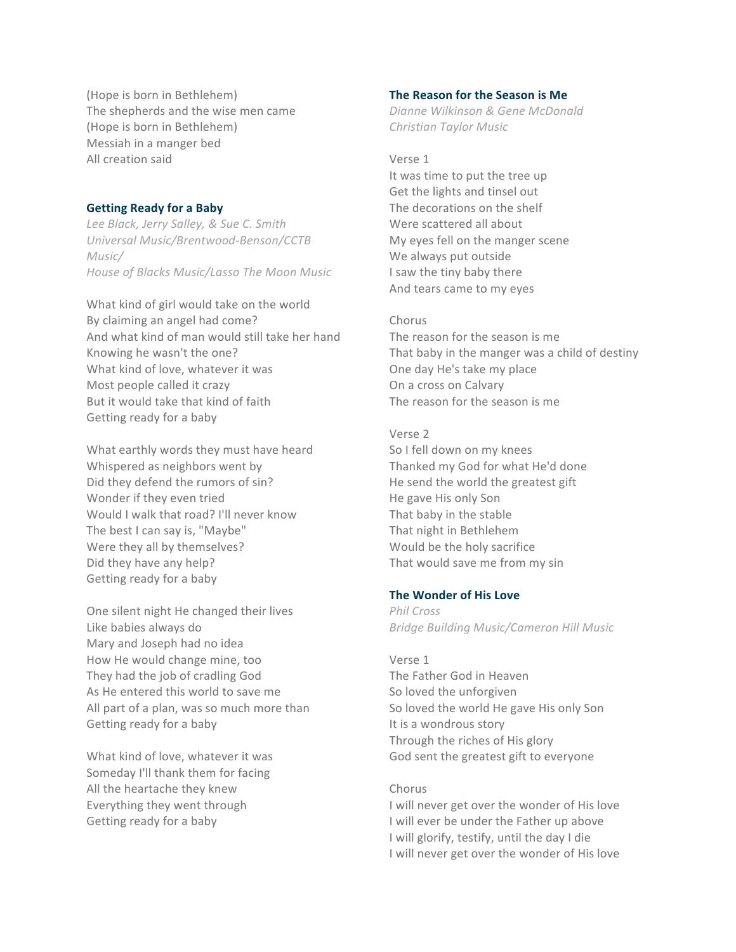(Hope is born in Bethlehem) The shepherds and the wise men came (Hope is born in Bethlehem) Messiah in a manger bed All creation said

## **Getting Ready for a Baby**

*Lee Black, Jerry Salley, & Sue C. Smith Universal Music/Brentwood-Benson/CCTB Music/ House of Blacks Music/Lasso The Moon Music*

What kind of girl would take on the world By claiming an angel had come? And what kind of man would still take her hand Knowing he wasn't the one? What kind of love, whatever it was Most people called it crazy But it would take that kind of faith Getting ready for a baby

What earthly words they must have heard Whispered as neighbors went by Did they defend the rumors of sin? Wonder if they even tried Would I walk that road? I'll never know The best I can say is, "Maybe" Were they all by themselves? Did they have any help? Getting ready for a baby

One silent night He changed their lives Like babies always do Mary and Joseph had no idea How He would change mine, too They had the job of cradling God As He entered this world to save me All part of a plan, was so much more than Getting ready for a baby

What kind of love, whatever it was Someday I'll thank them for facing All the heartache they knew Everything they went through Getting ready for a baby

## **The Reason for the Season is Me**

*Dianne Wilkinson & Gene McDonald Christian Taylor Music*

#### Verse 1

It was time to put the tree up Get the lights and tinsel out The decorations on the shelf Were scattered all about My eyes fell on the manger scene We always put outside I saw the tiny baby there And tears came to my eyes

#### Chorus

The reason for the season is me That baby in the manger was a child of destiny One day He's take my place On a cross on Calvary The reason for the season is me

#### Verse 2

So I fell down on my knees Thanked my God for what He'd done He send the world the greatest gift He gave His only Son That baby in the stable That night in Bethlehem Would be the holy sacrifice That would save me from my sin

# **The Wonder of His Love**

*Phil Cross Bridge Building Music/Cameron Hill Music*

#### Verse 1

The Father God in Heaven So loved the unforgiven So loved the world He gave His only Son It is a wondrous story Through the riches of His glory God sent the greatest gift to everyone

#### Chorus

I will never get over the wonder of His love I will ever be under the Father up above I will glorify, testify, until the day I die I will never get over the wonder of His love